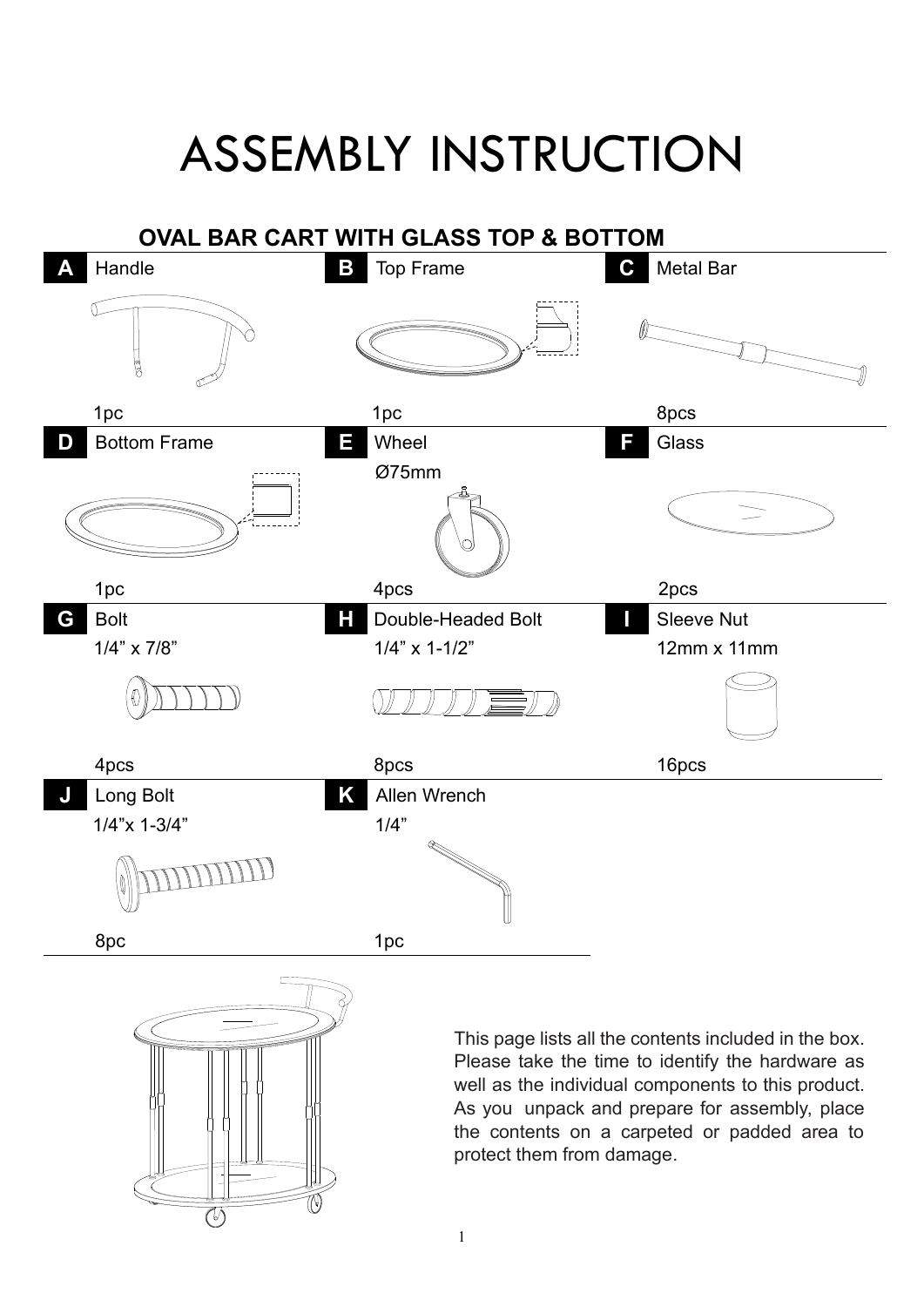## ASSEMBLY INSTRUCTION



As you unpack and prepare for assembly, place the contents on a carpeted or padded area to protect them from damage.

W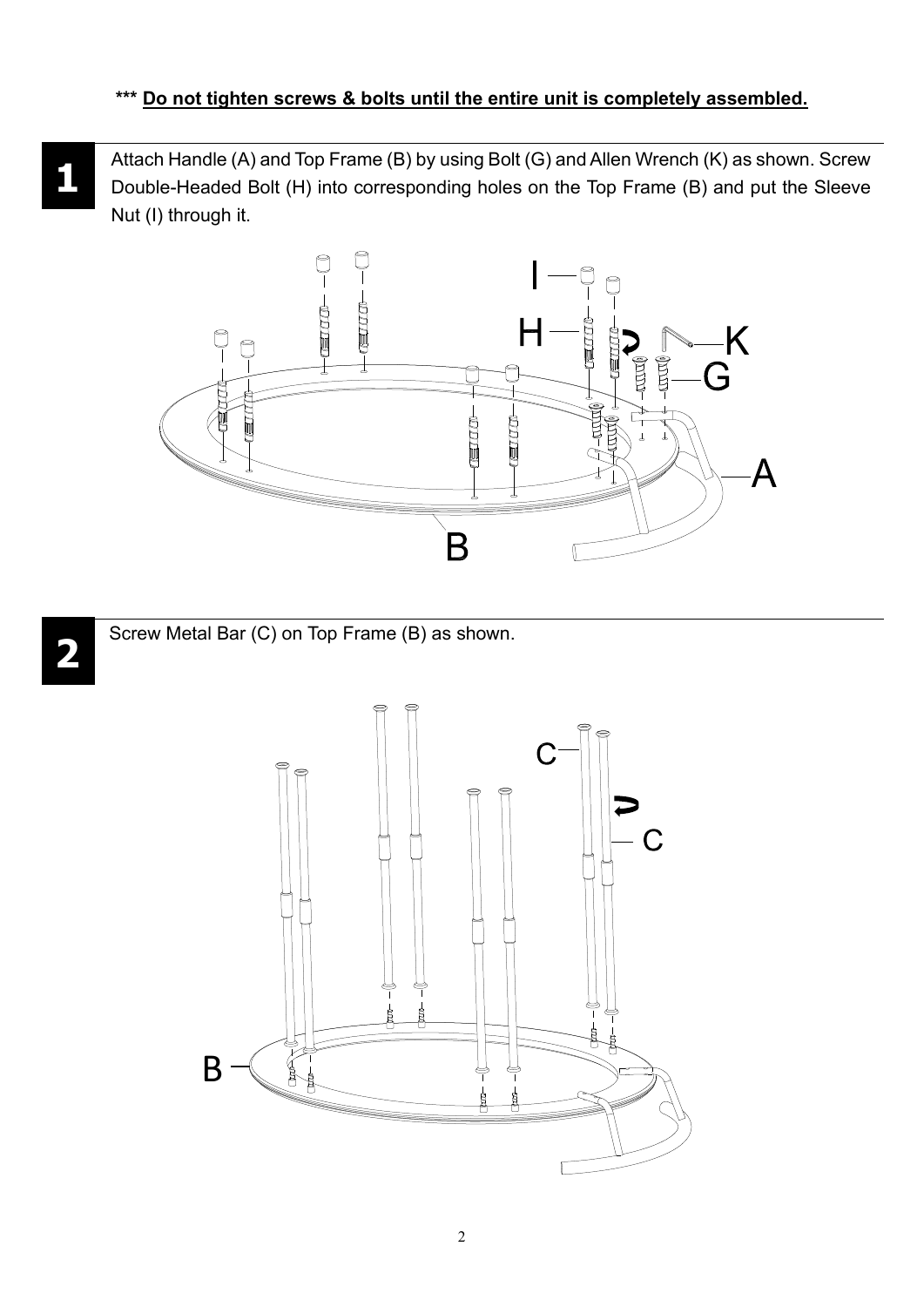**1** Attach Handle (A) and Top Frame (B) by using Bolt (G) and Allen Wrench (K) as shown. Screw Double-Headed Bolt (H) into corresponding holes on the Top Frame (B) and put the Sleeve Nut (I) through it.





Screw Metal Bar (C) on Top Frame (B) as shown.



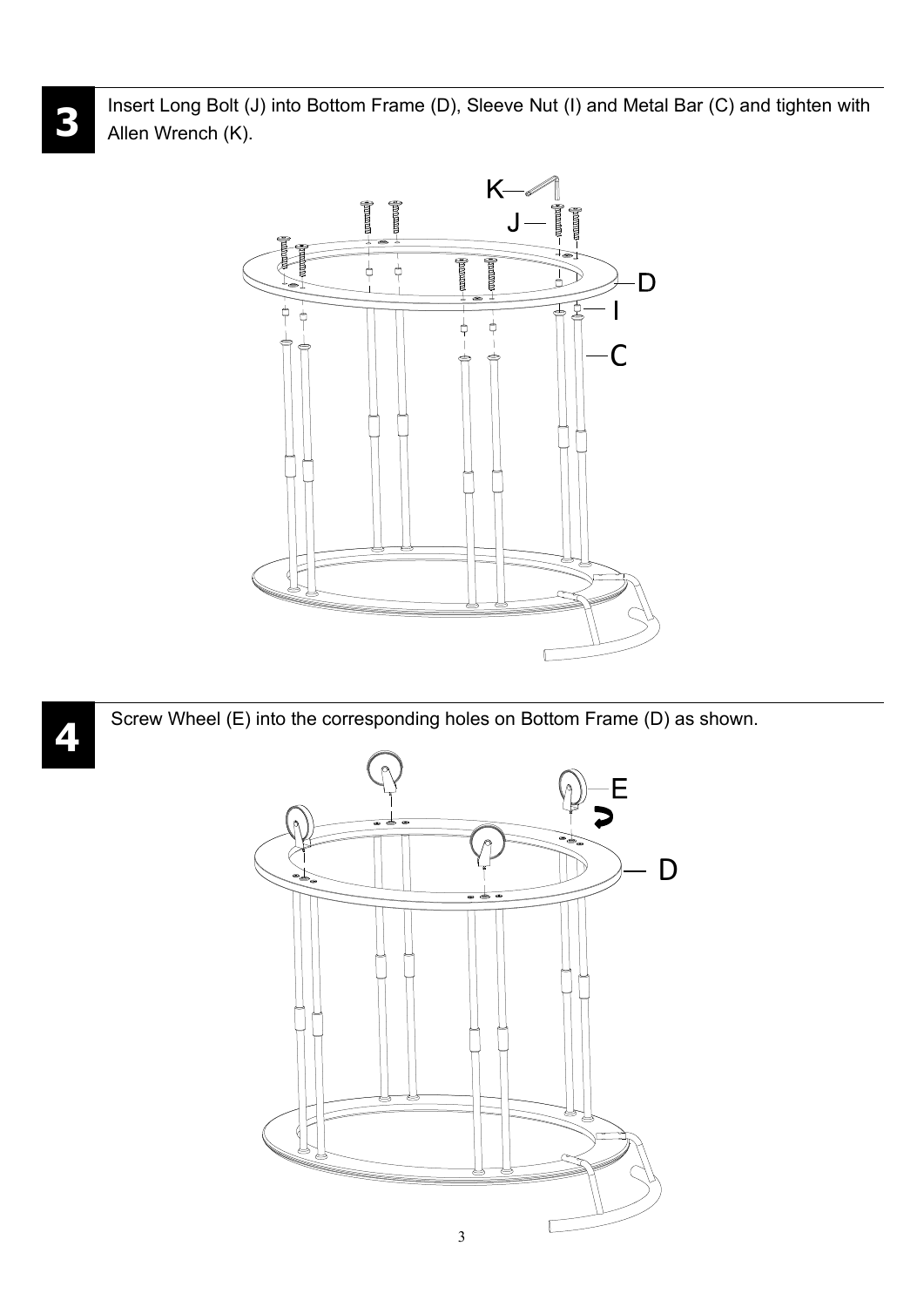Insert Long Bolt (J) into Bottom Frame (D), Sleeve Nut (I) and Metal Bar (C) and tighten with Allen Wrench (K).



Screw Wheel (E) into the corresponding holes on Bottom Frame (D) as shown.



**4**

**3**